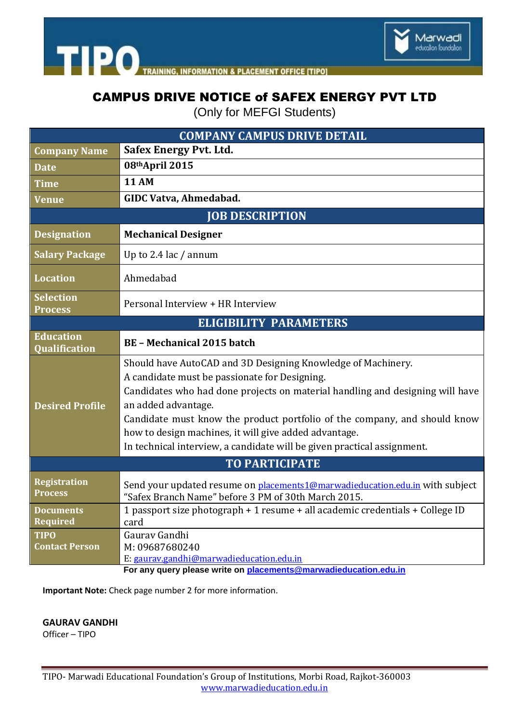

**TIPO** TRAINING **INFORMATION & PLACEMENT OFFICE ITIPOI** 

## CAMPUS DRIVE NOTICE of SAFEX ENERGY PVT LTD

(Only for MEFGI Students)

| <b>COMPANY CAMPUS DRIVE DETAIL</b>       |                                                                                                                                                                                                                                                                                                                                                                                                                                        |
|------------------------------------------|----------------------------------------------------------------------------------------------------------------------------------------------------------------------------------------------------------------------------------------------------------------------------------------------------------------------------------------------------------------------------------------------------------------------------------------|
| <b>Company Name</b>                      | Safex Energy Pvt. Ltd.                                                                                                                                                                                                                                                                                                                                                                                                                 |
| <b>Date</b>                              | 08thApril 2015                                                                                                                                                                                                                                                                                                                                                                                                                         |
| <b>Time</b>                              | <b>11 AM</b>                                                                                                                                                                                                                                                                                                                                                                                                                           |
| <b>Venue</b>                             | <b>GIDC Vatva, Ahmedabad.</b>                                                                                                                                                                                                                                                                                                                                                                                                          |
| <b>JOB DESCRIPTION</b>                   |                                                                                                                                                                                                                                                                                                                                                                                                                                        |
| <b>Designation</b>                       | <b>Mechanical Designer</b>                                                                                                                                                                                                                                                                                                                                                                                                             |
| <b>Salary Package</b>                    | Up to 2.4 lac / annum                                                                                                                                                                                                                                                                                                                                                                                                                  |
| <b>Location</b>                          | Ahmedabad                                                                                                                                                                                                                                                                                                                                                                                                                              |
| <b>Selection</b><br><b>Process</b>       | Personal Interview + HR Interview                                                                                                                                                                                                                                                                                                                                                                                                      |
| <b>ELIGIBILITY PARAMETERS</b>            |                                                                                                                                                                                                                                                                                                                                                                                                                                        |
| <b>Education</b><br><b>Qualification</b> | <b>BE-Mechanical 2015 batch</b>                                                                                                                                                                                                                                                                                                                                                                                                        |
| <b>Desired Profile</b>                   | Should have AutoCAD and 3D Designing Knowledge of Machinery.<br>A candidate must be passionate for Designing.<br>Candidates who had done projects on material handling and designing will have<br>an added advantage.<br>Candidate must know the product portfolio of the company, and should know<br>how to design machines, it will give added advantage.<br>In technical interview, a candidate will be given practical assignment. |
| <b>TO PARTICIPATE</b>                    |                                                                                                                                                                                                                                                                                                                                                                                                                                        |
| <b>Registration</b><br><b>Process</b>    | Send your updated resume on placements1@marwadieducation.edu.in with subject<br>"Safex Branch Name" before 3 PM of 30th March 2015.                                                                                                                                                                                                                                                                                                    |
| <b>Documents</b><br><b>Required</b>      | 1 passport size photograph + 1 resume + all academic credentials + College ID<br>card                                                                                                                                                                                                                                                                                                                                                  |
| <b>TIPO</b><br><b>Contact Person</b>     | Gaurav Gandhi<br>M: 09687680240<br>E: gaurav.gandhi@marwadieducation.edu.in<br>For any query please write on <b>placements@marwadieducation.edu.in</b>                                                                                                                                                                                                                                                                                 |

**Important Note:** Check page number 2 for more information.

**GAURAV GANDHI**

Officer – TIPO